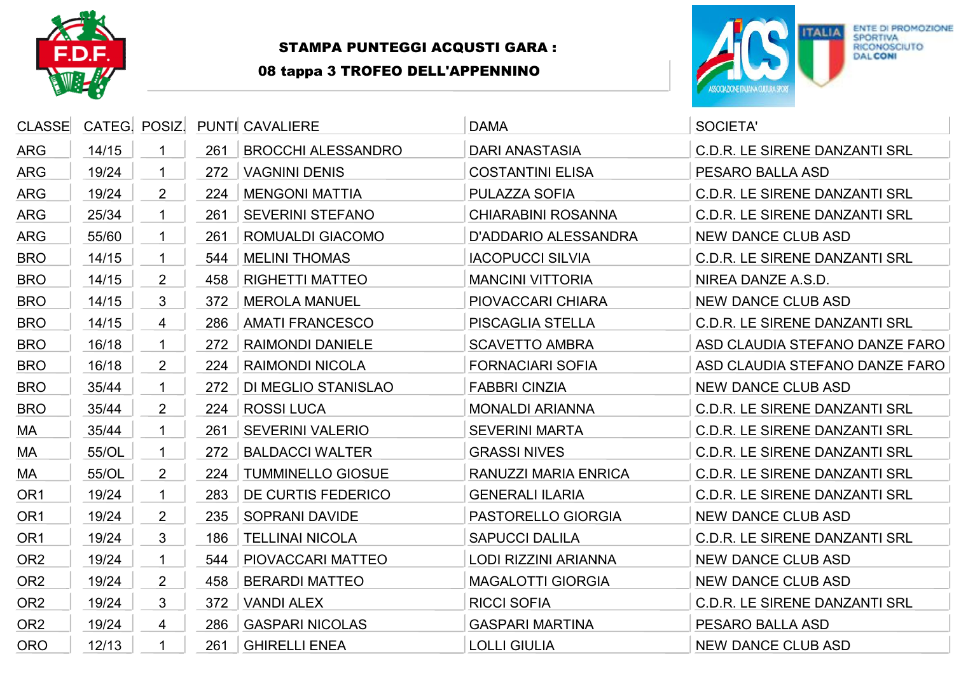

## STAMPA PUNTEGGI ACQUSTI GARA :

08 tappa 3 TROFEO DELL'APPENNINO



| <b>CLASSE</b>   | CATEG! POSIZ! |                |     | <b>PUNTI CAVALIERE</b>     | <b>DAMA</b>                 | <b>SOCIETA'</b>                      |
|-----------------|---------------|----------------|-----|----------------------------|-----------------------------|--------------------------------------|
| <b>ARG</b>      | 14/15         |                | 261 | <b>BROCCHI ALESSANDRO</b>  | <b>DARI ANASTASIA</b>       | <b>C.D.R. LE SIRENE DANZANTI SRL</b> |
| <b>ARG</b>      | 19/24         |                | 272 | <b>VAGNINI DENIS</b>       | <b>COSTANTINI ELISA</b>     | PESARO BALLA ASD                     |
| <b>ARG</b>      | 19/24         | $\overline{2}$ | 224 | <b>MENGONI MATTIA</b>      | PULAZZA SOFIA               | <b>C.D.R. LE SIRENE DANZANTI SRL</b> |
| <b>ARG</b>      | 25/34         |                | 261 | <b>SEVERINI STEFANO</b>    | <b>CHIARABINI ROSANNA</b>   | <b>C.D.R. LE SIRENE DANZANTI SRL</b> |
| <b>ARG</b>      | 55/60         |                | 261 | <b>ROMUALDI GIACOMO</b>    | <b>D'ADDARIO ALESSANDRA</b> | <b>NEW DANCE CLUB ASD</b>            |
| <b>BRO</b>      | 14/15         |                | 544 | <b>MELINI THOMAS</b>       | <b>IACOPUCCI SILVIA</b>     | <b>C.D.R. LE SIRENE DANZANTI SRL</b> |
| <b>BRO</b>      | 14/15         | $\overline{2}$ | 458 | <b>RIGHETTI MATTEO</b>     | <b>MANCINI VITTORIA</b>     | NIREA DANZE A.S.D.                   |
| <b>BRO</b>      | 14/15         | 3              | 372 | <b>MEROLA MANUEL</b>       | PIOVACCARI CHIARA           | <b>NEW DANCE CLUB ASD</b>            |
| <b>BRO</b>      | 14/15         | 4              | 286 | <b>AMATI FRANCESCO</b>     | PISCAGLIA STELLA            | <b>C.D.R. LE SIRENE DANZANTI SRL</b> |
| <b>BRO</b>      | 16/18         |                | 272 | <b>RAIMONDI DANIELE</b>    | <b>SCAVETTO AMBRA</b>       | ASD CLAUDIA STEFANO DANZE FARO       |
| <b>BRO</b>      | 16/18         | $\overline{2}$ | 224 | <b>RAIMONDI NICOLA</b>     | <b>FORNACIARI SOFIA</b>     | ASD CLAUDIA STEFANO DANZE FARO       |
| <b>BRO</b>      | 35/44         | 1              | 272 | <b>DI MEGLIO STANISLAO</b> | <b>FABBRI CINZIA</b>        | <b>NEW DANCE CLUB ASD</b>            |
| <b>BRO</b>      | 35/44         | $\overline{2}$ | 224 | <b>ROSSI LUCA</b>          | <b>MONALDI ARIANNA</b>      | <b>C.D.R. LE SIRENE DANZANTI SRL</b> |
| MA              | 35/44         |                | 261 | <b>SEVERINI VALERIO</b>    | <b>SEVERINI MARTA</b>       | <b>C.D.R. LE SIRENE DANZANTI SRL</b> |
| MA              | 55/OL         | 1              | 272 | <b>BALDACCI WALTER</b>     | <b>GRASSI NIVES</b>         | <b>C.D.R. LE SIRENE DANZANTI SRL</b> |
| MA              | 55/OL         | $\overline{2}$ | 224 | <b>TUMMINELLO GIOSUE</b>   | <b>RANUZZI MARIA ENRICA</b> | <b>C.D.R. LE SIRENE DANZANTI SRL</b> |
| OR <sub>1</sub> | 19/24         | 1              | 283 | DE CURTIS FEDERICO         | <b>GENERALI ILARIA</b>      | <b>C.D.R. LE SIRENE DANZANTI SRL</b> |
| OR <sub>1</sub> | 19/24         | $\overline{2}$ | 235 | <b>SOPRANI DAVIDE</b>      | PASTORELLO GIORGIA          | <b>NEW DANCE CLUB ASD</b>            |
| OR <sub>1</sub> | 19/24         | 3              | 186 | <b>TELLINAI NICOLA</b>     | <b>SAPUCCI DALILA</b>       | <b>C.D.R. LE SIRENE DANZANTI SRL</b> |
| OR <sub>2</sub> | 19/24         |                | 544 | PIOVACCARI MATTEO          | <b>LODI RIZZINI ARIANNA</b> | <b>NEW DANCE CLUB ASD</b>            |
| OR <sub>2</sub> | 19/24         | $\overline{2}$ | 458 | <b>BERARDI MATTEO</b>      | <b>MAGALOTTI GIORGIA</b>    | <b>NEW DANCE CLUB ASD</b>            |
| OR <sub>2</sub> | 19/24         | 3              | 372 | <b>VANDI ALEX</b>          | <b>RICCI SOFIA</b>          | <b>C.D.R. LE SIRENE DANZANTI SRL</b> |
| OR <sub>2</sub> | 19/24         | 4              | 286 | <b>GASPARI NICOLAS</b>     | <b>GASPARI MARTINA</b>      | PESARO BALLA ASD                     |
| <b>ORO</b>      | 12/13         |                | 261 | <b>GHIRELLI ENEA</b>       | <b>LOLLI GIULIA</b>         | <b>NEW DANCE CLUB ASD</b>            |